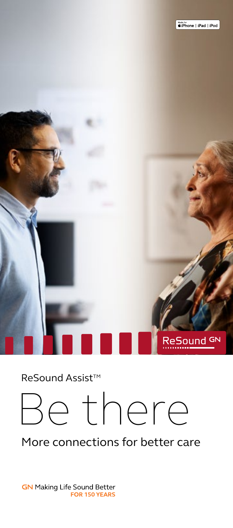

## ReSound Assist™



More connections for better care

**GN** Making Life Sound Better FOR 150 YEARS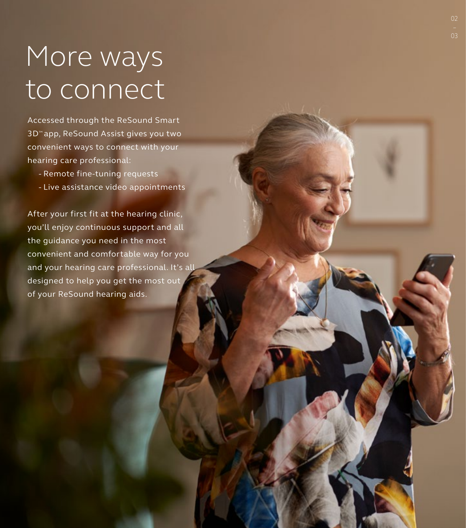# More ways to connect

Accessed through the ReSound Smart 3D™ app, ReSound Assist gives you two convenient ways to connect with your hearing care professional:

- Remote fine-tuning requests
- Live assistance video appointments

After your first fit at the hearing clinic, you'll enjoy continuous support and all the guidance you need in the most convenient and comfortable way for you and your hearing care professional. It's all designed to help you get the most out of your ReSound hearing aids.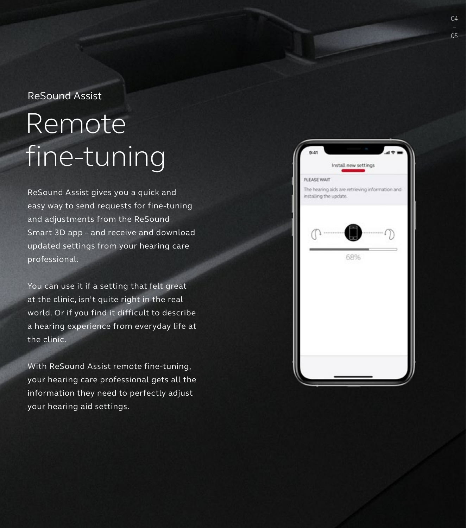ReSound Assist

# Remote fine-tuning

ReSound Assist gives you a quick and easy way to send requests for fine-tuning and adjustments from the ReSound Smart 3D app – and receive and download updated settings from your hearing care professional.

You can use it if a setting that felt great at the clinic, isn't quite right in the real world. Or if you find it difficult to describe a hearing experience from everyday life at the clinic.

With ReSound Assist remote fine-tuning, your hearing care professional gets all the information they need to perfectly adjust your hearing aid settings.

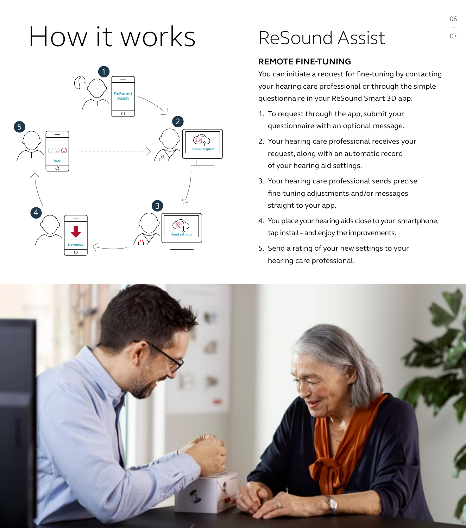# How it works ReSound Assist



## ReSound Assist

### **REMOTE FINE-TUNING**

You can initiate a request for fine-tuning by contacting your hearing care professional or through the simple questionnaire in your ReSound Smart 3D app.

- 1. To request through the app, submit your questionnaire with an optional message.
- 2. Your hearing care professional receives your request, along with an automatic record of your hearing aid settings.
- 3. Your hearing care professional sends precise fine-tuning adjustments and/or messages straight to your app.
- 4. You place your hearing aids close to your smartphone, tap install – and enjoy the improvements.
- 5. Send a rating of your new settings to your hearing care professional.

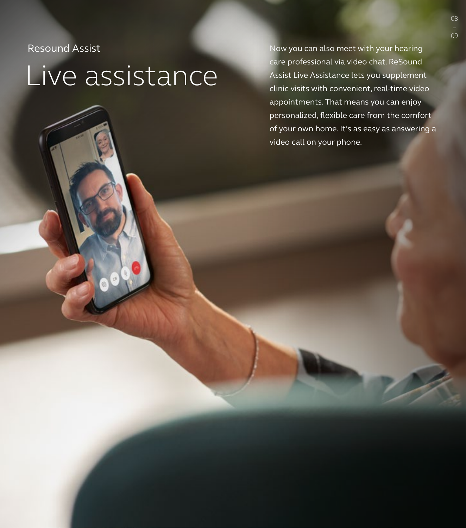## Resound Assist

# Live assistance

Now you can also meet with your hearing care professional via video chat. ReSound Assist Live Assistance lets you supplement clinic visits with convenient, real-time video appointments. That means you can enjoy personalized, flexible care from the comfort of your own home. It's as easy as answering a video call on your phone.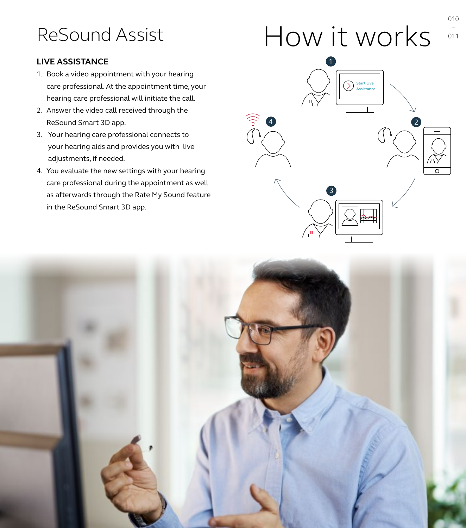## ReSound Assist

### **LIVE ASSISTANCE**

- 1. Book a video appointment with your hearing care professional. At the appointment time, your hearing care professional will initiate the call.
- 2. Answer the video call received through the ReSound Smart 3D app.
- 3. Your hearing care professional connects to your hearing aids and provides you with live adjustments, if needed.
- 4. You evaluate the new settings with your hearing care professional during the appointment as well as afterwards through the Rate My Sound feature in the ReSound Smart 3D app.



3